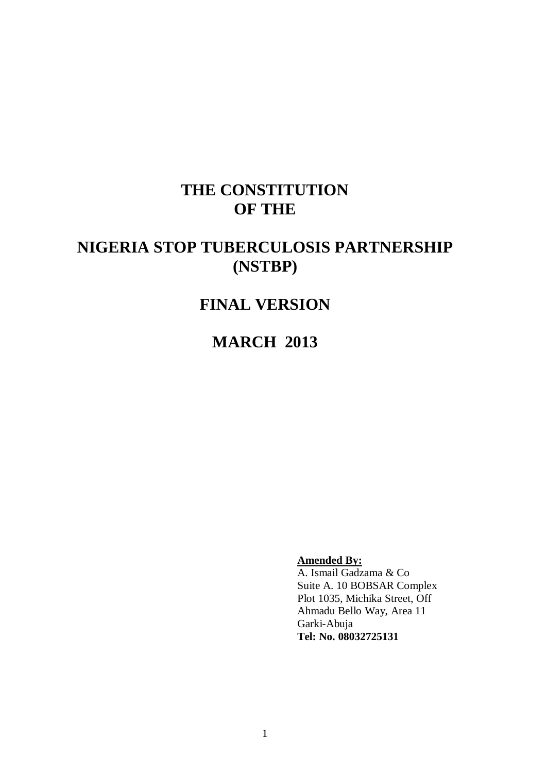# **THE CONSTITUTION OF THE**

# **NIGERIA STOP TUBERCULOSIS PARTNERSHIP (NSTBP)**

# **FINAL VERSION**

**MARCH 2013**

**Amended By:**

A. Ismail Gadzama & Co Suite A. 10 BOBSAR Complex Plot 1035, Michika Street, Off Ahmadu Bello Way, Area 11 Garki-Abuja **Tel: No. 08032725131**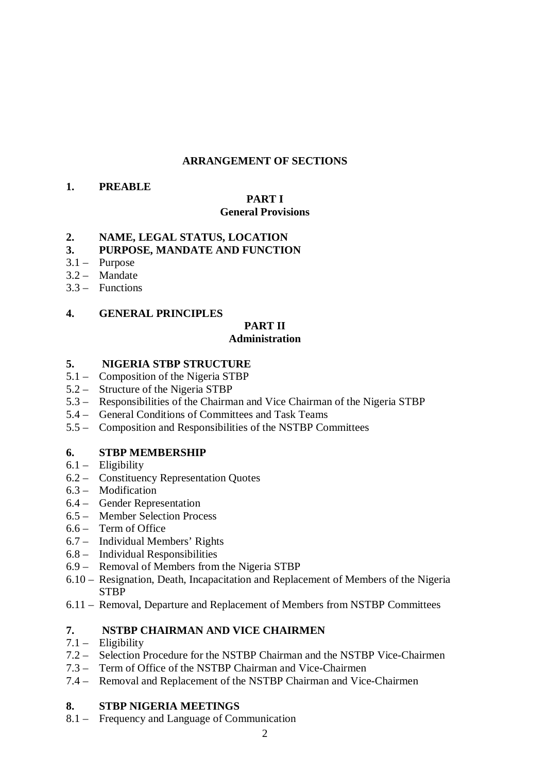# **ARRANGEMENT OF SECTIONS**

# **1. PREABLE**

# **PART I**

# **General Provisions**

# **2. NAME, LEGAL STATUS, LOCATION**

# **3. PURPOSE, MANDATE AND FUNCTION**

- 3.1 Purpose
- 3.2 Mandate
- 3.3 Functions

# **4. GENERAL PRINCIPLES**

## **PART II Administration**

# **5. NIGERIA STBP STRUCTURE**

- 5.1 Composition of the Nigeria STBP
- 5.2 Structure of the Nigeria STBP
- 5.3 Responsibilities of the Chairman and Vice Chairman of the Nigeria STBP
- 5.4 General Conditions of Committees and Task Teams
- 5.5 Composition and Responsibilities of the NSTBP Committees

# **6. STBP MEMBERSHIP**

- 6.1 Eligibility
- 6.2 Constituency Representation Quotes
- 6.3 Modification
- 6.4 Gender Representation
- 6.5 Member Selection Process
- 6.6 Term of Office
- 6.7 Individual Members' Rights
- 6.8 Individual Responsibilities
- 6.9 Removal of Members from the Nigeria STBP
- 6.10 Resignation, Death, Incapacitation and Replacement of Members of the Nigeria **STBP**
- 6.11 Removal, Departure and Replacement of Members from NSTBP Committees

# **7. NSTBP CHAIRMAN AND VICE CHAIRMEN**

# 7.1 – Eligibility

- 7.2 Selection Procedure for the NSTBP Chairman and the NSTBP Vice-Chairmen
- 7.3 Term of Office of the NSTBP Chairman and Vice-Chairmen
- 7.4 Removal and Replacement of the NSTBP Chairman and Vice-Chairmen

# **8. STBP NIGERIA MEETINGS**

8.1 – Frequency and Language of Communication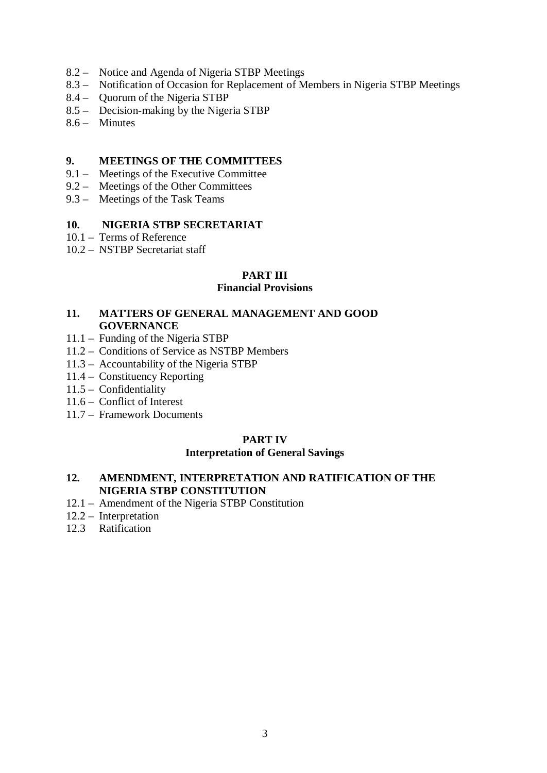- 8.2 Notice and Agenda of Nigeria STBP Meetings
- 8.3 Notification of Occasion for Replacement of Members in Nigeria STBP Meetings
- 8.4 Quorum of the Nigeria STBP
- 8.5 Decision-making by the Nigeria STBP
- 8.6 Minutes

## **9. MEETINGS OF THE COMMITTEES**

- 9.1 Meetings of the Executive Committee
- 9.2 Meetings of the Other Committees
- 9.3 Meetings of the Task Teams

# **10. NIGERIA STBP SECRETARIAT**

- 10.1 Terms of Reference
- 10.2 NSTBP Secretariat staff

# **PART III**

# **Financial Provisions**

# **11. MATTERS OF GENERAL MANAGEMENT AND GOOD GOVERNANCE**

- 11.1 Funding of the Nigeria STBP
- 11.2 Conditions of Service as NSTBP Members
- 11.3 Accountability of the Nigeria STBP
- 11.4 Constituency Reporting
- 11.5 Confidentiality
- 11.6 Conflict of Interest
- 11.7 Framework Documents

# **PART IV**

# **Interpretation of General Savings**

# **12. AMENDMENT, INTERPRETATION AND RATIFICATION OF THE NIGERIA STBP CONSTITUTION**

- 12.1 Amendment of the Nigeria STBP Constitution
- 12.2 Interpretation
- 12.3 Ratification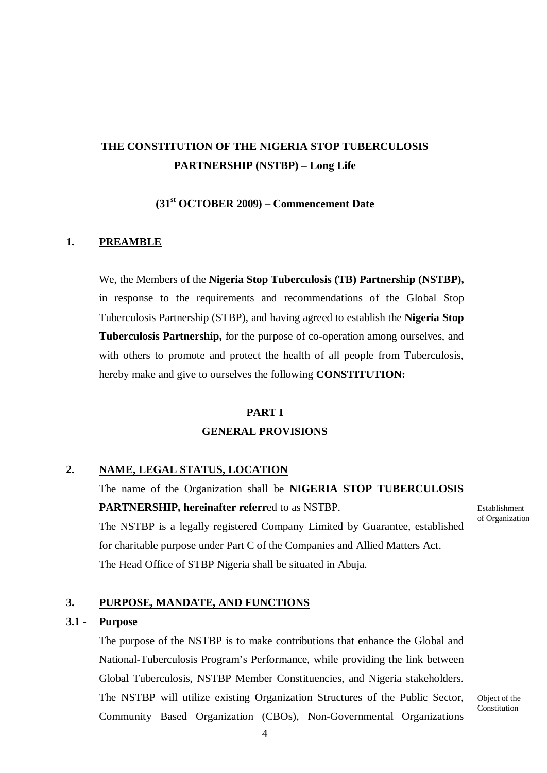# **THE CONSTITUTION OF THE NIGERIA STOP TUBERCULOSIS PARTNERSHIP (NSTBP) – Long Life**

**(31st OCTOBER 2009) – Commencement Date**

# **1. PREAMBLE**

We, the Members of the **Nigeria Stop Tuberculosis (TB) Partnership (NSTBP),**  in response to the requirements and recommendations of the Global Stop Tuberculosis Partnership (STBP), and having agreed to establish the **Nigeria Stop Tuberculosis Partnership,** for the purpose of co-operation among ourselves, and with others to promote and protect the health of all people from Tuberculosis, hereby make and give to ourselves the following **CONSTITUTION:**

#### **PART I**

## **GENERAL PROVISIONS**

# **2. NAME, LEGAL STATUS, LOCATION**

The name of the Organization shall be **NIGERIA STOP TUBERCULOSIS PARTNERSHIP, hereinafter referr**ed to as NSTBP. The NSTBP is a legally registered Company Limited by Guarantee, established for charitable purpose under Part C of the Companies and Allied Matters Act. The Head Office of STBP Nigeria shall be situated in Abuja.

## **3. PURPOSE, MANDATE, AND FUNCTIONS**

#### **3.1 - Purpose**

The purpose of the NSTBP is to make contributions that enhance the Global and National-Tuberculosis Program's Performance, while providing the link between Global Tuberculosis, NSTBP Member Constituencies, and Nigeria stakeholders. The NSTBP will utilize existing Organization Structures of the Public Sector, Community Based Organization (CBOs), Non-Governmental Organizations

Establishment of Organization

Object of the Constitution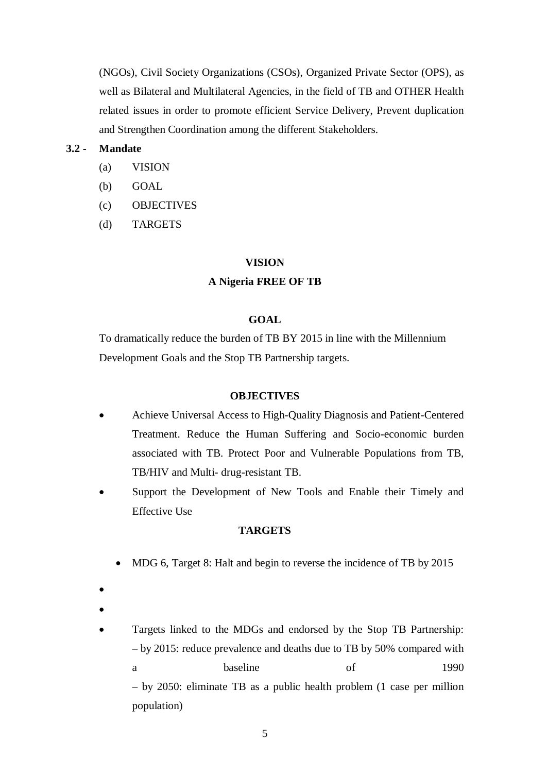(NGOs), Civil Society Organizations (CSOs), Organized Private Sector (OPS), as well as Bilateral and Multilateral Agencies, in the field of TB and OTHER Health related issues in order to promote efficient Service Delivery, Prevent duplication and Strengthen Coordination among the different Stakeholders.

## **3.2 - Mandate**

- (a) VISION
- (b) GOAL
- (c) OBJECTIVES
- (d) TARGETS

#### **VISION**

#### **A Nigeria FREE OF TB**

#### **GOAL**

To dramatically reduce the burden of TB BY 2015 in line with the Millennium Development Goals and the Stop TB Partnership targets.

#### **OBJECTIVES**

- Achieve Universal Access to High-Quality Diagnosis and Patient-Centered Treatment. Reduce the Human Suffering and Socio-economic burden associated with TB. Protect Poor and Vulnerable Populations from TB, TB/HIV and Multi- drug-resistant TB.
- Support the Development of New Tools and Enable their Timely and Effective Use

#### **TARGETS**

- MDG 6, Target 8: Halt and begin to reverse the incidence of TB by 2015
- •
- - Targets linked to the MDGs and endorsed by the Stop TB Partnership: – by 2015: reduce prevalence and deaths due to TB by 50% compared with a baseline of 1990 – by 2050: eliminate TB as a public health problem (1 case per million population)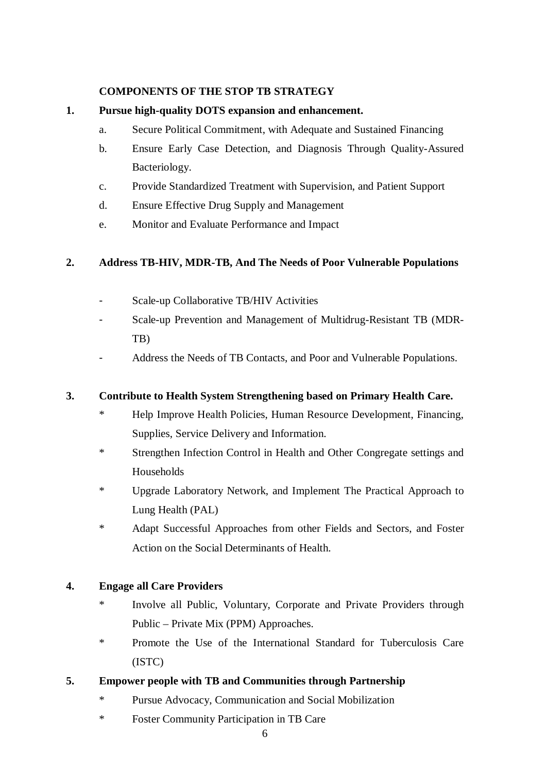# **COMPONENTS OF THE STOP TB STRATEGY**

# **1. Pursue high-quality DOTS expansion and enhancement.**

- a. Secure Political Commitment, with Adequate and Sustained Financing
- b. Ensure Early Case Detection, and Diagnosis Through Quality-Assured Bacteriology.
- c. Provide Standardized Treatment with Supervision, and Patient Support
- d. Ensure Effective Drug Supply and Management
- e. Monitor and Evaluate Performance and Impact

# **2. Address TB-HIV, MDR-TB, And The Needs of Poor Vulnerable Populations**

- Scale-up Collaborative TB/HIV Activities
- Scale-up Prevention and Management of Multidrug-Resistant TB (MDR-TB)
- Address the Needs of TB Contacts, and Poor and Vulnerable Populations.

# **3. Contribute to Health System Strengthening based on Primary Health Care.**

- \* Help Improve Health Policies, Human Resource Development, Financing, Supplies, Service Delivery and Information.
- \* Strengthen Infection Control in Health and Other Congregate settings and Households
- \* Upgrade Laboratory Network, and Implement The Practical Approach to Lung Health (PAL)
- \* Adapt Successful Approaches from other Fields and Sectors, and Foster Action on the Social Determinants of Health.

# **4. Engage all Care Providers**

- Involve all Public, Voluntary, Corporate and Private Providers through Public – Private Mix (PPM) Approaches.
- \* Promote the Use of the International Standard for Tuberculosis Care (ISTC)

# **5. Empower people with TB and Communities through Partnership**

- \* Pursue Advocacy, Communication and Social Mobilization
- \* Foster Community Participation in TB Care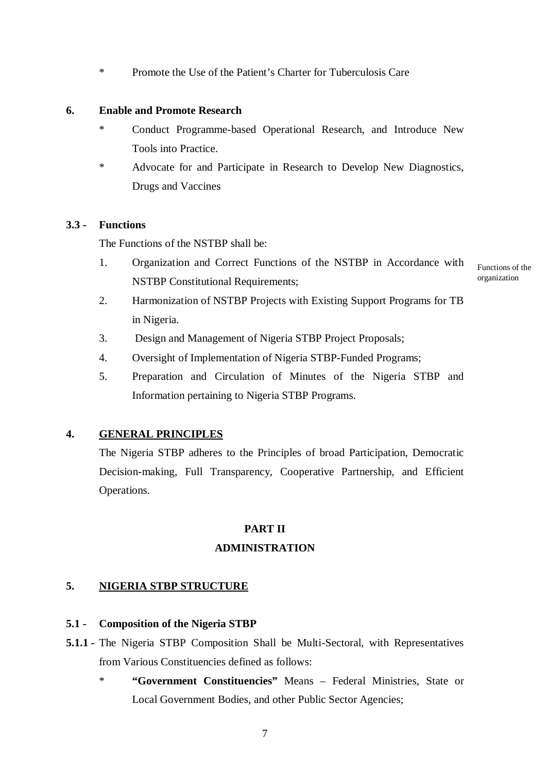\* Promote the Use of the Patient's Charter for Tuberculosis Care

## **6. Enable and Promote Research**

- \* Conduct Programme-based Operational Research, and Introduce New Tools into Practice.
- Advocate for and Participate in Research to Develop New Diagnostics, Drugs and Vaccines

# **3.3 - Functions**

The Functions of the NSTBP shall be:

1. Organization and Correct Functions of the NSTBP in Accordance with NSTBP Constitutional Requirements;

Functions of the organization

2. Harmonization of NSTBP Projects with Existing Support Programs for TB in Nigeria.

- 3. Design and Management of Nigeria STBP Project Proposals;
- 4. Oversight of Implementation of Nigeria STBP-Funded Programs;
- 5. Preparation and Circulation of Minutes of the Nigeria STBP and Information pertaining to Nigeria STBP Programs.

# **4. GENERAL PRINCIPLES**

The Nigeria STBP adheres to the Principles of broad Participation, Democratic Decision-making, Full Transparency, Cooperative Partnership, and Efficient Operations.

# **PART II**

# **ADMINISTRATION**

# **5. NIGERIA STBP STRUCTURE**

# **5.1 - Composition of the Nigeria STBP**

- **5.1.1 -** The Nigeria STBP Composition Shall be Multi-Sectoral, with Representatives from Various Constituencies defined as follows:
	- \* **"Government Constituencies"** Means Federal Ministries, State or Local Government Bodies, and other Public Sector Agencies;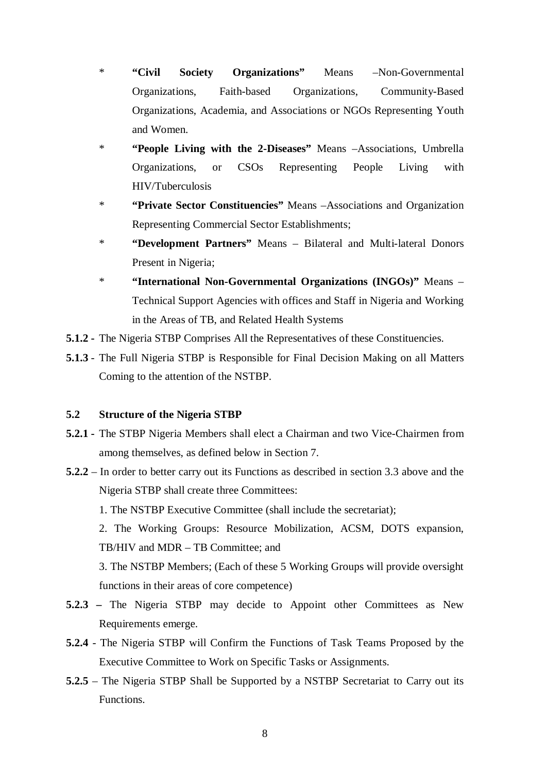- \* **"Civil Society Organizations"** Means –Non-Governmental Organizations, Faith-based Organizations, Community-Based Organizations, Academia, and Associations or NGOs Representing Youth and Women.
- \* **"People Living with the 2-Diseases"** Means –Associations, Umbrella Organizations, or CSOs Representing People Living with HIV/Tuberculosis
- \* **"Private Sector Constituencies"** Means –Associations and Organization Representing Commercial Sector Establishments;
- \* **"Development Partners"** Means Bilateral and Multi-lateral Donors Present in Nigeria;
- \* **"International Non-Governmental Organizations (INGOs)"** Means Technical Support Agencies with offices and Staff in Nigeria and Working in the Areas of TB, and Related Health Systems
- **5.1.2 -** The Nigeria STBP Comprises All the Representatives of these Constituencies.
- **5.1.3** The Full Nigeria STBP is Responsible for Final Decision Making on all Matters Coming to the attention of the NSTBP.

# **5.2 Structure of the Nigeria STBP**

- **5.2.1 -** The STBP Nigeria Members shall elect a Chairman and two Vice-Chairmen from among themselves, as defined below in Section 7.
- **5.2.2** In order to better carry out its Functions as described in section 3.3 above and the Nigeria STBP shall create three Committees:
	- 1. The NSTBP Executive Committee (shall include the secretariat);

2. The Working Groups: Resource Mobilization, ACSM, DOTS expansion, TB/HIV and MDR – TB Committee; and

3. The NSTBP Members; (Each of these 5 Working Groups will provide oversight functions in their areas of core competence)

- **5.2.3 –** The Nigeria STBP may decide to Appoint other Committees as New Requirements emerge.
- **5.2.4** The Nigeria STBP will Confirm the Functions of Task Teams Proposed by the Executive Committee to Work on Specific Tasks or Assignments.
- **5.2.5** The Nigeria STBP Shall be Supported by a NSTBP Secretariat to Carry out its Functions.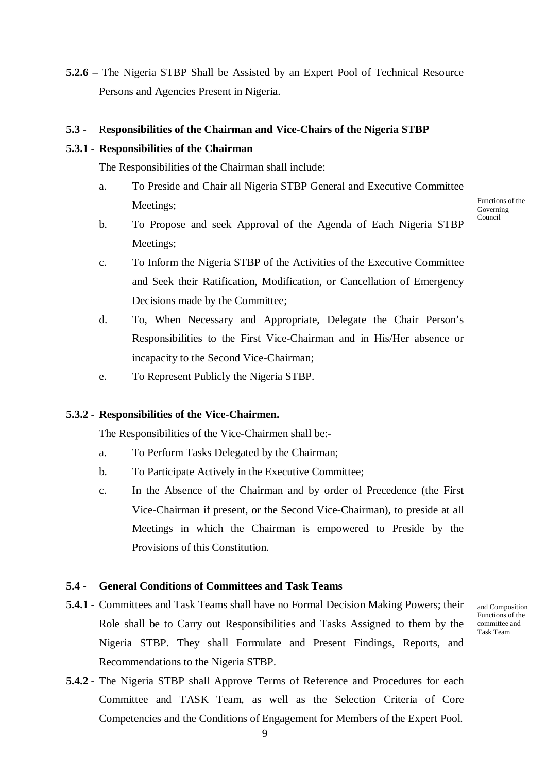**5.2.6** – The Nigeria STBP Shall be Assisted by an Expert Pool of Technical Resource Persons and Agencies Present in Nigeria.

#### **5.3 -** R**esponsibilities of the Chairman and Vice-Chairs of the Nigeria STBP**

#### **5.3.1 - Responsibilities of the Chairman**

The Responsibilities of the Chairman shall include:

- a. To Preside and Chair all Nigeria STBP General and Executive Committee Meetings;
- b. To Propose and seek Approval of the Agenda of Each Nigeria STBP Meetings;
- c. To Inform the Nigeria STBP of the Activities of the Executive Committee and Seek their Ratification, Modification, or Cancellation of Emergency Decisions made by the Committee;
- d. To, When Necessary and Appropriate, Delegate the Chair Person's Responsibilities to the First Vice-Chairman and in His/Her absence or incapacity to the Second Vice-Chairman;
- e. To Represent Publicly the Nigeria STBP.

#### **5.3.2 - Responsibilities of the Vice-Chairmen.**

The Responsibilities of the Vice-Chairmen shall be:-

- a. To Perform Tasks Delegated by the Chairman;
- b. To Participate Actively in the Executive Committee;
- c. In the Absence of the Chairman and by order of Precedence (the First Vice-Chairman if present, or the Second Vice-Chairman), to preside at all Meetings in which the Chairman is empowered to Preside by the Provisions of this Constitution.

#### **5.4 - General Conditions of Committees and Task Teams**

- **5.4.1 -** Committees and Task Teams shall have no Formal Decision Making Powers; their Role shall be to Carry out Responsibilities and Tasks Assigned to them by the Nigeria STBP. They shall Formulate and Present Findings, Reports, and Recommendations to the Nigeria STBP.
- **5.4.2** The Nigeria STBP shall Approve Terms of Reference and Procedures for each Committee and TASK Team, as well as the Selection Criteria of Core Competencies and the Conditions of Engagement for Members of the Expert Pool.

and Composition Functions of the committee and Task Team

Functions of the Governing Council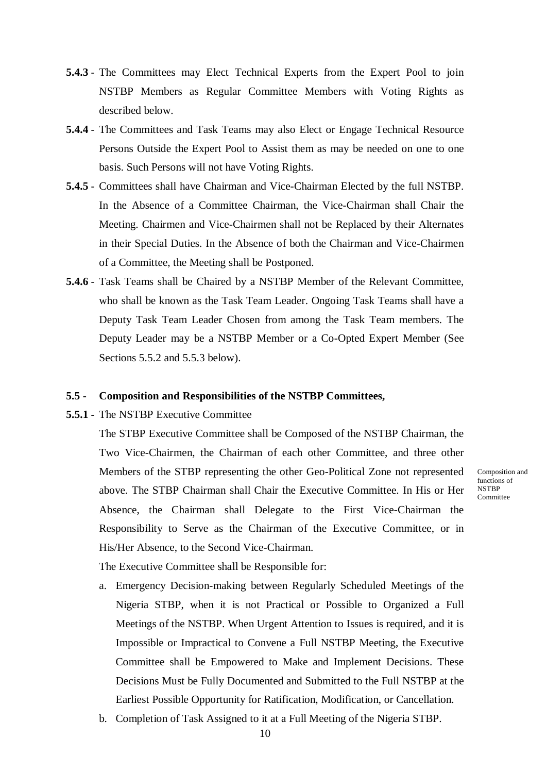- **5.4.3** The Committees may Elect Technical Experts from the Expert Pool to join NSTBP Members as Regular Committee Members with Voting Rights as described below.
- **5.4.4** The Committees and Task Teams may also Elect or Engage Technical Resource Persons Outside the Expert Pool to Assist them as may be needed on one to one basis. Such Persons will not have Voting Rights.
- **5.4.5** Committees shall have Chairman and Vice-Chairman Elected by the full NSTBP. In the Absence of a Committee Chairman, the Vice-Chairman shall Chair the Meeting. Chairmen and Vice-Chairmen shall not be Replaced by their Alternates in their Special Duties. In the Absence of both the Chairman and Vice-Chairmen of a Committee, the Meeting shall be Postponed.
- **5.4.6** Task Teams shall be Chaired by a NSTBP Member of the Relevant Committee, who shall be known as the Task Team Leader. Ongoing Task Teams shall have a Deputy Task Team Leader Chosen from among the Task Team members. The Deputy Leader may be a NSTBP Member or a Co-Opted Expert Member (See Sections 5.5.2 and 5.5.3 below).

#### **5.5 - Composition and Responsibilities of the NSTBP Committees,**

**5.5.1 -** The NSTBP Executive Committee

The STBP Executive Committee shall be Composed of the NSTBP Chairman, the Two Vice-Chairmen, the Chairman of each other Committee, and three other Members of the STBP representing the other Geo-Political Zone not represented above. The STBP Chairman shall Chair the Executive Committee. In His or Her Absence, the Chairman shall Delegate to the First Vice-Chairman the Responsibility to Serve as the Chairman of the Executive Committee, or in His/Her Absence, to the Second Vice-Chairman.

Composition and functions of **NSTBP** Committee

The Executive Committee shall be Responsible for:

- a. Emergency Decision-making between Regularly Scheduled Meetings of the Nigeria STBP, when it is not Practical or Possible to Organized a Full Meetings of the NSTBP. When Urgent Attention to Issues is required, and it is Impossible or Impractical to Convene a Full NSTBP Meeting, the Executive Committee shall be Empowered to Make and Implement Decisions. These Decisions Must be Fully Documented and Submitted to the Full NSTBP at the Earliest Possible Opportunity for Ratification, Modification, or Cancellation.
- b. Completion of Task Assigned to it at a Full Meeting of the Nigeria STBP.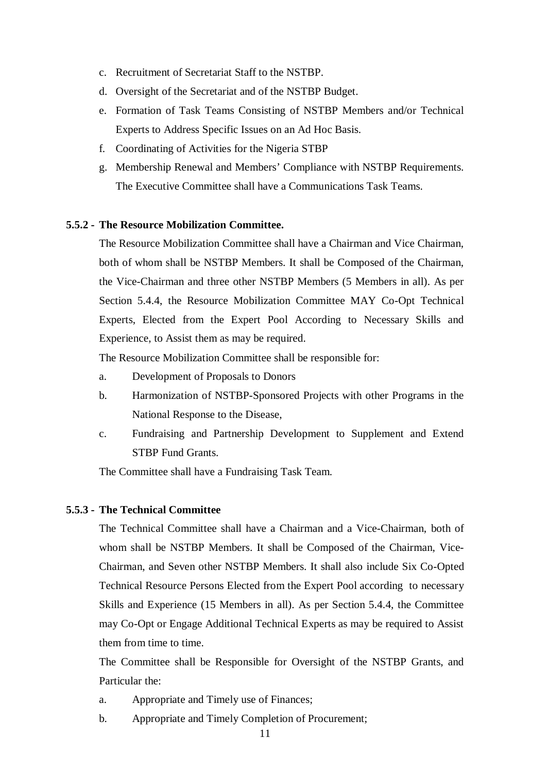- c. Recruitment of Secretariat Staff to the NSTBP.
- d. Oversight of the Secretariat and of the NSTBP Budget.
- e. Formation of Task Teams Consisting of NSTBP Members and/or Technical Experts to Address Specific Issues on an Ad Hoc Basis.
- f. Coordinating of Activities for the Nigeria STBP
- g. Membership Renewal and Members' Compliance with NSTBP Requirements. The Executive Committee shall have a Communications Task Teams.

#### **5.5.2 - The Resource Mobilization Committee.**

The Resource Mobilization Committee shall have a Chairman and Vice Chairman, both of whom shall be NSTBP Members. It shall be Composed of the Chairman, the Vice-Chairman and three other NSTBP Members (5 Members in all). As per Section 5.4.4, the Resource Mobilization Committee MAY Co-Opt Technical Experts, Elected from the Expert Pool According to Necessary Skills and Experience, to Assist them as may be required.

The Resource Mobilization Committee shall be responsible for:

- a. Development of Proposals to Donors
- b. Harmonization of NSTBP-Sponsored Projects with other Programs in the National Response to the Disease,
- c. Fundraising and Partnership Development to Supplement and Extend STBP Fund Grants.

The Committee shall have a Fundraising Task Team.

## **5.5.3 - The Technical Committee**

The Technical Committee shall have a Chairman and a Vice-Chairman, both of whom shall be NSTBP Members. It shall be Composed of the Chairman, Vice-Chairman, and Seven other NSTBP Members. It shall also include Six Co-Opted Technical Resource Persons Elected from the Expert Pool according to necessary Skills and Experience (15 Members in all). As per Section 5.4.4, the Committee may Co-Opt or Engage Additional Technical Experts as may be required to Assist them from time to time.

The Committee shall be Responsible for Oversight of the NSTBP Grants, and Particular the:

- a. Appropriate and Timely use of Finances;
- b. Appropriate and Timely Completion of Procurement;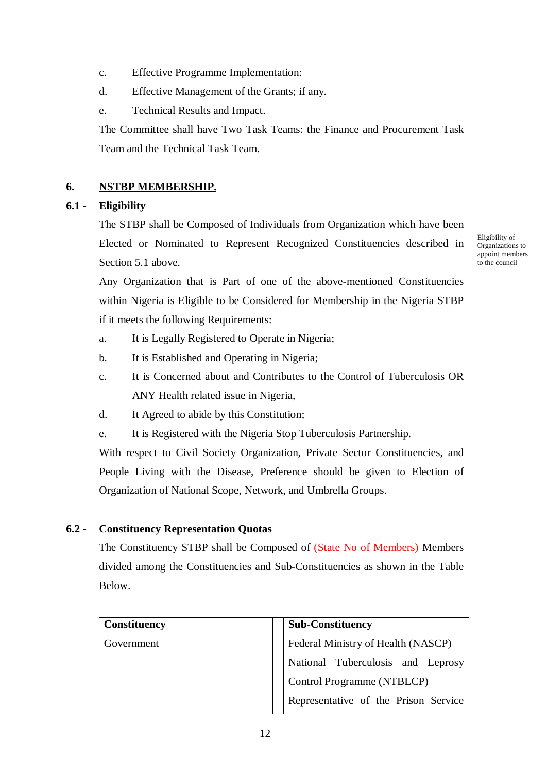- c. Effective Programme Implementation:
- d. Effective Management of the Grants; if any.
- e. Technical Results and Impact.

The Committee shall have Two Task Teams: the Finance and Procurement Task Team and the Technical Task Team.

# **6. NSTBP MEMBERSHIP.**

# **6.1 - Eligibility**

The STBP shall be Composed of Individuals from Organization which have been Elected or Nominated to Represent Recognized Constituencies described in Section 5.1 above.

Eligibility of Organizations to appoint members to the council

Any Organization that is Part of one of the above-mentioned Constituencies within Nigeria is Eligible to be Considered for Membership in the Nigeria STBP if it meets the following Requirements:

- a. It is Legally Registered to Operate in Nigeria;
- b. It is Established and Operating in Nigeria;
- c. It is Concerned about and Contributes to the Control of Tuberculosis OR ANY Health related issue in Nigeria,
- d. It Agreed to abide by this Constitution;
- e. It is Registered with the Nigeria Stop Tuberculosis Partnership.

With respect to Civil Society Organization, Private Sector Constituencies, and People Living with the Disease, Preference should be given to Election of Organization of National Scope, Network, and Umbrella Groups.

# **6.2 - Constituency Representation Quotas**

The Constituency STBP shall be Composed of (State No of Members) Members divided among the Constituencies and Sub-Constituencies as shown in the Table Below.

| <b>Constituency</b> | <b>Sub-Constituency</b>              |
|---------------------|--------------------------------------|
| Government          | Federal Ministry of Health (NASCP)   |
|                     | National Tuberculosis and Leprosy    |
|                     | Control Programme (NTBLCP)           |
|                     | Representative of the Prison Service |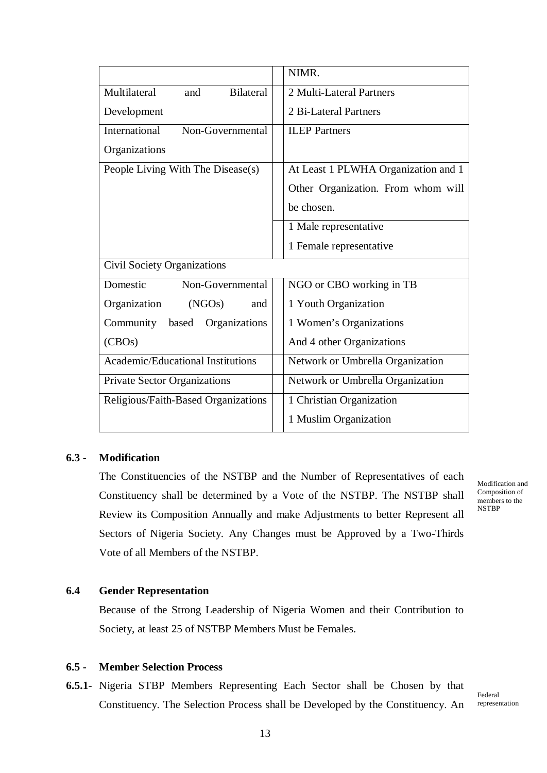|                                          | NIMR.                               |
|------------------------------------------|-------------------------------------|
| Multilateral<br><b>Bilateral</b><br>and  | 2 Multi-Lateral Partners            |
| Development                              | 2 Bi-Lateral Partners               |
| International<br>Non-Governmental        | <b>ILEP</b> Partners                |
| Organizations                            |                                     |
| People Living With The Disease(s)        | At Least 1 PLWHA Organization and 1 |
|                                          | Other Organization. From whom will  |
|                                          | be chosen.                          |
|                                          | 1 Male representative               |
|                                          | 1 Female representative             |
| Civil Society Organizations              |                                     |
| Domestic<br>Non-Governmental             | NGO or CBO working in TB            |
| Organization<br>(NGOs)<br>and            | 1 Youth Organization                |
| based<br>Community<br>Organizations      | 1 Women's Organizations             |
| (CBOs)                                   | And 4 other Organizations           |
| <b>Academic/Educational Institutions</b> | Network or Umbrella Organization    |
| Private Sector Organizations             | Network or Umbrella Organization    |
| Religious/Faith-Based Organizations      | 1 Christian Organization            |
|                                          | 1 Muslim Organization               |

# **6.3 - Modification**

The Constituencies of the NSTBP and the Number of Representatives of each Constituency shall be determined by a Vote of the NSTBP. The NSTBP shall Review its Composition Annually and make Adjustments to better Represent all Sectors of Nigeria Society. Any Changes must be Approved by a Two-Thirds Vote of all Members of the NSTBP.

Modification and Composition of members to the NSTBP

## **6.4 Gender Representation**

Because of the Strong Leadership of Nigeria Women and their Contribution to Society, at least 25 of NSTBP Members Must be Females.

# **6.5 - Member Selection Process**

**6.5.1**- Nigeria STBP Members Representing Each Sector shall be Chosen by that Constituency. The Selection Process shall be Developed by the Constituency. An

Federal representation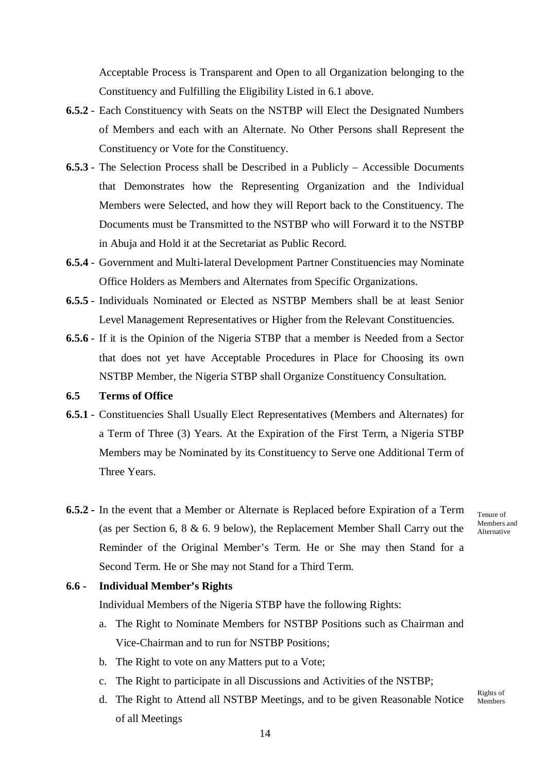Acceptable Process is Transparent and Open to all Organization belonging to the Constituency and Fulfilling the Eligibility Listed in 6.1 above.

- **6.5.2** Each Constituency with Seats on the NSTBP will Elect the Designated Numbers of Members and each with an Alternate. No Other Persons shall Represent the Constituency or Vote for the Constituency.
- **6.5.3** The Selection Process shall be Described in a Publicly Accessible Documents that Demonstrates how the Representing Organization and the Individual Members were Selected, and how they will Report back to the Constituency. The Documents must be Transmitted to the NSTBP who will Forward it to the NSTBP in Abuja and Hold it at the Secretariat as Public Record.
- **6.5.4** Government and Multi-lateral Development Partner Constituencies may Nominate Office Holders as Members and Alternates from Specific Organizations.
- **6.5.5** Individuals Nominated or Elected as NSTBP Members shall be at least Senior Level Management Representatives or Higher from the Relevant Constituencies.
- **6.5.6** If it is the Opinion of the Nigeria STBP that a member is Needed from a Sector that does not yet have Acceptable Procedures in Place for Choosing its own NSTBP Member, the Nigeria STBP shall Organize Constituency Consultation.

#### **6.5 Terms of Office**

- **6.5.1** Constituencies Shall Usually Elect Representatives (Members and Alternates) for a Term of Three (3) Years. At the Expiration of the First Term, a Nigeria STBP Members may be Nominated by its Constituency to Serve one Additional Term of Three Years.
- **6.5.2 -** In the event that a Member or Alternate is Replaced before Expiration of a Term (as per Section 6, 8 & 6. 9 below), the Replacement Member Shall Carry out the Reminder of the Original Member's Term. He or She may then Stand for a Second Term. He or She may not Stand for a Third Term.

Tenure of Members and Alternative

#### **6.6 - Individual Member's Rights**

Individual Members of the Nigeria STBP have the following Rights:

- a. The Right to Nominate Members for NSTBP Positions such as Chairman and Vice-Chairman and to run for NSTBP Positions;
- b. The Right to vote on any Matters put to a Vote;
- c. The Right to participate in all Discussions and Activities of the NSTBP;
- d. The Right to Attend all NSTBP Meetings, and to be given Reasonable Notice of all Meetings Rights of Members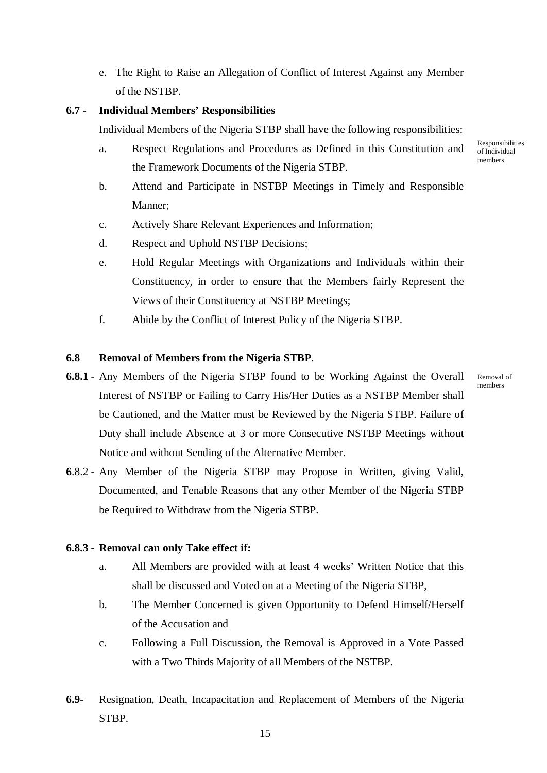e. The Right to Raise an Allegation of Conflict of Interest Against any Member of the NSTBP.

# **6.7 - Individual Members' Responsibilities**

Individual Members of the Nigeria STBP shall have the following responsibilities:

- a. Respect Regulations and Procedures as Defined in this Constitution and the Framework Documents of the Nigeria STBP.
- b. Attend and Participate in NSTBP Meetings in Timely and Responsible Manner;
- c. Actively Share Relevant Experiences and Information;
- d. Respect and Uphold NSTBP Decisions;
- e. Hold Regular Meetings with Organizations and Individuals within their Constituency, in order to ensure that the Members fairly Represent the Views of their Constituency at NSTBP Meetings;
- f. Abide by the Conflict of Interest Policy of the Nigeria STBP.

# **6.8 Removal of Members from the Nigeria STBP**.

- **6.8.1** Any Members of the Nigeria STBP found to be Working Against the Overall Interest of NSTBP or Failing to Carry His/Her Duties as a NSTBP Member shall be Cautioned, and the Matter must be Reviewed by the Nigeria STBP. Failure of Duty shall include Absence at 3 or more Consecutive NSTBP Meetings without Notice and without Sending of the Alternative Member.
- **6**.8.2 Any Member of the Nigeria STBP may Propose in Written, giving Valid, Documented, and Tenable Reasons that any other Member of the Nigeria STBP be Required to Withdraw from the Nigeria STBP.

## **6.8.3 - Removal can only Take effect if:**

- a. All Members are provided with at least 4 weeks' Written Notice that this shall be discussed and Voted on at a Meeting of the Nigeria STBP,
- b. The Member Concerned is given Opportunity to Defend Himself/Herself of the Accusation and
- c. Following a Full Discussion, the Removal is Approved in a Vote Passed with a Two Thirds Majority of all Members of the NSTBP.
- **6.9-** Resignation, Death, Incapacitation and Replacement of Members of the Nigeria STBP.

Responsibilities of Individual members

Removal of members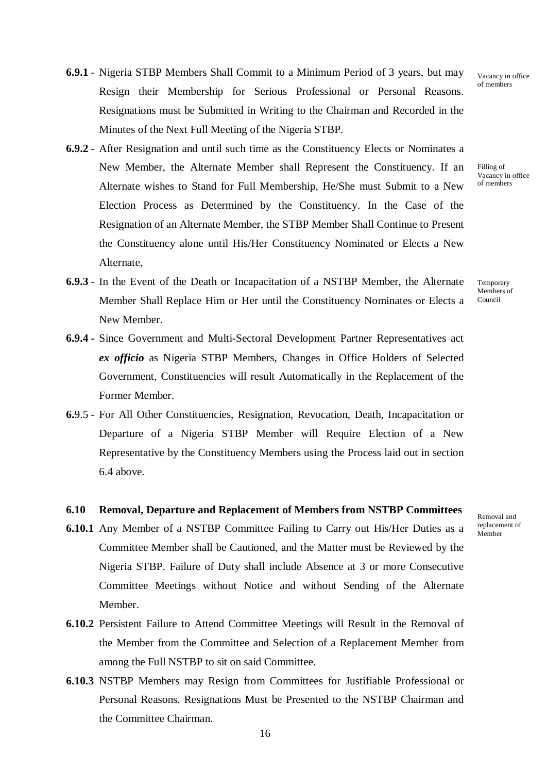- **6.9.1** Nigeria STBP Members Shall Commit to a Minimum Period of 3 years, but may Resign their Membership for Serious Professional or Personal Reasons. Resignations must be Submitted in Writing to the Chairman and Recorded in the Minutes of the Next Full Meeting of the Nigeria STBP.
- **6.9.2** After Resignation and until such time as the Constituency Elects or Nominates a New Member, the Alternate Member shall Represent the Constituency. If an Alternate wishes to Stand for Full Membership, He/She must Submit to a New Election Process as Determined by the Constituency. In the Case of the Resignation of an Alternate Member, the STBP Member Shall Continue to Present the Constituency alone until His/Her Constituency Nominated or Elects a New Alternate,
- **6.9.3** In the Event of the Death or Incapacitation of a NSTBP Member, the Alternate Member Shall Replace Him or Her until the Constituency Nominates or Elects a New Member.
- **6.9.4 -** Since Government and Multi-Sectoral Development Partner Representatives act *ex officio* as Nigeria STBP Members, Changes in Office Holders of Selected Government, Constituencies will result Automatically in the Replacement of the Former Member.
- **6.**9.5 For All Other Constituencies, Resignation, Revocation, Death, Incapacitation or Departure of a Nigeria STBP Member will Require Election of a New Representative by the Constituency Members using the Process laid out in section 6.4 above.

#### **6.10 Removal, Departure and Replacement of Members from NSTBP Committees**

- **6.10.1** Any Member of a NSTBP Committee Failing to Carry out His/Her Duties as a Committee Member shall be Cautioned, and the Matter must be Reviewed by the Nigeria STBP. Failure of Duty shall include Absence at 3 or more Consecutive Committee Meetings without Notice and without Sending of the Alternate Member.
- **6.10.2** Persistent Failure to Attend Committee Meetings will Result in the Removal of the Member from the Committee and Selection of a Replacement Member from among the Full NSTBP to sit on said Committee.
- **6.10.3** NSTBP Members may Resign from Committees for Justifiable Professional or Personal Reasons. Resignations Must be Presented to the NSTBP Chairman and the Committee Chairman.

Vacancy in office of members

Filling of Vacancy in office of members

Temporary Members of Council

Removal and replacement of Member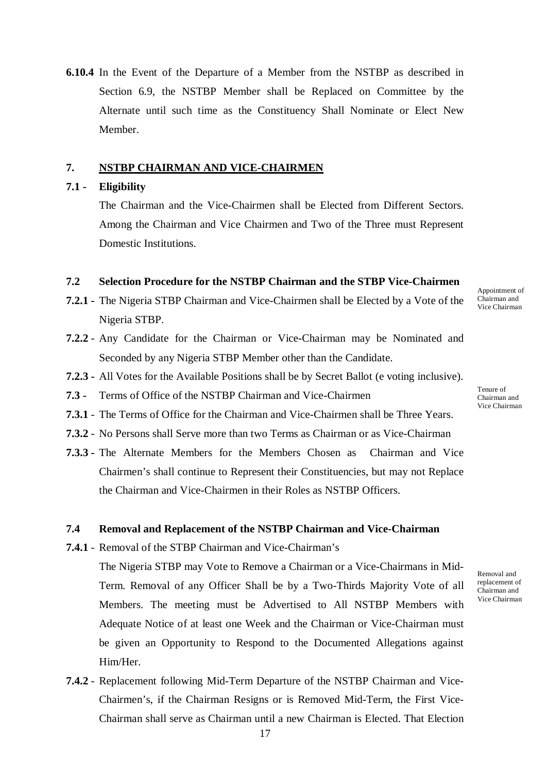**6.10.4** In the Event of the Departure of a Member from the NSTBP as described in Section 6.9, the NSTBP Member shall be Replaced on Committee by the Alternate until such time as the Constituency Shall Nominate or Elect New Member.

#### **7. NSTBP CHAIRMAN AND VICE-CHAIRMEN**

#### **7.1 - Eligibility**

The Chairman and the Vice-Chairmen shall be Elected from Different Sectors. Among the Chairman and Vice Chairmen and Two of the Three must Represent Domestic Institutions.

#### **7.2 Selection Procedure for the NSTBP Chairman and the STBP Vice-Chairmen**

- **7.2.1 -** The Nigeria STBP Chairman and Vice-Chairmen shall be Elected by a Vote of the Nigeria STBP.
- **7.2.2** Any Candidate for the Chairman or Vice-Chairman may be Nominated and Seconded by any Nigeria STBP Member other than the Candidate.
- **7.2.3 -** All Votes for the Available Positions shall be by Secret Ballot (e voting inclusive).
- **7.3 -** Terms of Office of the NSTBP Chairman and Vice-Chairmen
- **7.3.1** The Terms of Office for the Chairman and Vice-Chairmen shall be Three Years.
- **7.3.2** No Persons shall Serve more than two Terms as Chairman or as Vice-Chairman
- **7.3.3 -** The Alternate Members for the Members Chosen as Chairman and Vice Chairmen's shall continue to Represent their Constituencies, but may not Replace the Chairman and Vice-Chairmen in their Roles as NSTBP Officers.

#### **7.4 Removal and Replacement of the NSTBP Chairman and Vice-Chairman**

**7.4.1** - Removal of the STBP Chairman and Vice-Chairman's

The Nigeria STBP may Vote to Remove a Chairman or a Vice-Chairmans in Mid-Term. Removal of any Officer Shall be by a Two-Thirds Majority Vote of all Members. The meeting must be Advertised to All NSTBP Members with Adequate Notice of at least one Week and the Chairman or Vice-Chairman must be given an Opportunity to Respond to the Documented Allegations against Him/Her.

**7.4.2** - Replacement following Mid-Term Departure of the NSTBP Chairman and Vice-Chairmen's, if the Chairman Resigns or is Removed Mid-Term, the First Vice-Chairman shall serve as Chairman until a new Chairman is Elected. That Election Tenure of

Appointment of Chairman and Vice Chairman

Chairman and Vice Chairman

Removal and replacement of Chairman and Vice Chairman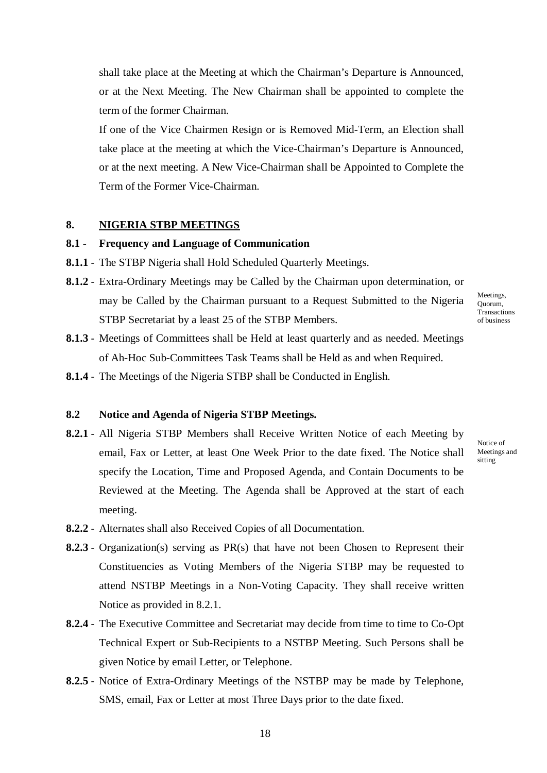shall take place at the Meeting at which the Chairman's Departure is Announced, or at the Next Meeting. The New Chairman shall be appointed to complete the term of the former Chairman.

If one of the Vice Chairmen Resign or is Removed Mid-Term, an Election shall take place at the meeting at which the Vice-Chairman's Departure is Announced, or at the next meeting. A New Vice-Chairman shall be Appointed to Complete the Term of the Former Vice-Chairman.

#### **8. NIGERIA STBP MEETINGS**

# **8.1 - Frequency and Language of Communication**

- **8.1.1** The STBP Nigeria shall Hold Scheduled Quarterly Meetings.
- **8.1.2** Extra-Ordinary Meetings may be Called by the Chairman upon determination, or may be Called by the Chairman pursuant to a Request Submitted to the Nigeria STBP Secretariat by a least 25 of the STBP Members.
- **8.1.3** Meetings of Committees shall be Held at least quarterly and as needed. Meetings of Ah-Hoc Sub-Committees Task Teams shall be Held as and when Required.
- **8.1.4** The Meetings of the Nigeria STBP shall be Conducted in English.

#### **8.2 Notice and Agenda of Nigeria STBP Meetings.**

- **8.2.1** All Nigeria STBP Members shall Receive Written Notice of each Meeting by email, Fax or Letter, at least One Week Prior to the date fixed. The Notice shall specify the Location, Time and Proposed Agenda, and Contain Documents to be Reviewed at the Meeting. The Agenda shall be Approved at the start of each meeting.
- **8.2.2** Alternates shall also Received Copies of all Documentation.
- **8.2.3** Organization(s) serving as PR(s) that have not been Chosen to Represent their Constituencies as Voting Members of the Nigeria STBP may be requested to attend NSTBP Meetings in a Non-Voting Capacity. They shall receive written Notice as provided in 8.2.1.
- **8.2.4** The Executive Committee and Secretariat may decide from time to time to Co-Opt Technical Expert or Sub-Recipients to a NSTBP Meeting. Such Persons shall be given Notice by email Letter, or Telephone.
- **8.2.5** Notice of Extra-Ordinary Meetings of the NSTBP may be made by Telephone, SMS, email, Fax or Letter at most Three Days prior to the date fixed.

Meetings, Quorum, Transactions of business

Notice of Meetings and sitting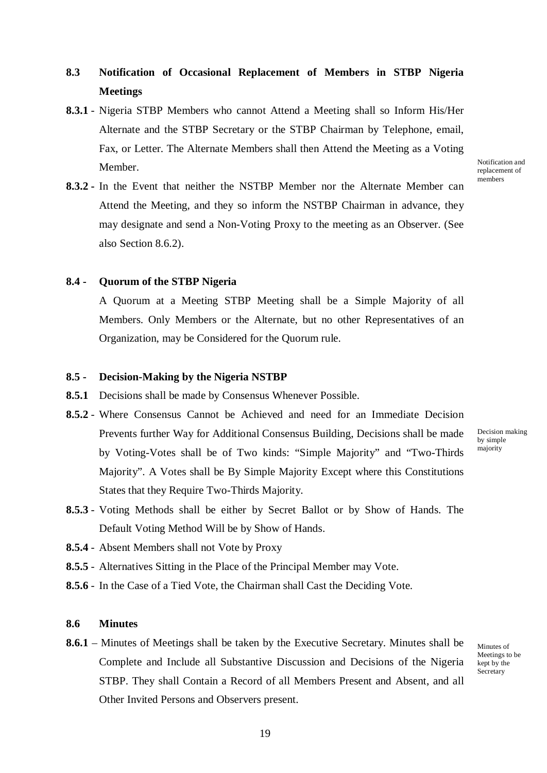# **8.3 Notification of Occasional Replacement of Members in STBP Nigeria Meetings**

**8.3.1** - Nigeria STBP Members who cannot Attend a Meeting shall so Inform His/Her Alternate and the STBP Secretary or the STBP Chairman by Telephone, email, Fax, or Letter. The Alternate Members shall then Attend the Meeting as a Voting Member.

**8.3.2 -** In the Event that neither the NSTBP Member nor the Alternate Member can Attend the Meeting, and they so inform the NSTBP Chairman in advance, they may designate and send a Non-Voting Proxy to the meeting as an Observer. (See also Section 8.6.2).

Notification and replacement of members

#### **8.4 - Quorum of the STBP Nigeria**

A Quorum at a Meeting STBP Meeting shall be a Simple Majority of all Members. Only Members or the Alternate, but no other Representatives of an Organization, may be Considered for the Quorum rule.

#### **8.5 - Decision-Making by the Nigeria NSTBP**

- **8.5.1** Decisions shall be made by Consensus Whenever Possible.
- **8.5.2** Where Consensus Cannot be Achieved and need for an Immediate Decision Prevents further Way for Additional Consensus Building, Decisions shall be made by Voting-Votes shall be of Two kinds: "Simple Majority" and "Two-Thirds Majority". A Votes shall be By Simple Majority Except where this Constitutions States that they Require Two-Thirds Majority.

Decision making by simple majority

- **8.5.3** Voting Methods shall be either by Secret Ballot or by Show of Hands. The Default Voting Method Will be by Show of Hands.
- **8.5.4** Absent Members shall not Vote by Proxy
- **8.5.5** Alternatives Sitting in the Place of the Principal Member may Vote.
- **8.5.6** In the Case of a Tied Vote, the Chairman shall Cast the Deciding Vote.

#### **8.6 Minutes**

**8.6.1** – Minutes of Meetings shall be taken by the Executive Secretary. Minutes shall be Complete and Include all Substantive Discussion and Decisions of the Nigeria STBP. They shall Contain a Record of all Members Present and Absent, and all Other Invited Persons and Observers present.

Minutes of Meetings to be kept by the **Secretary**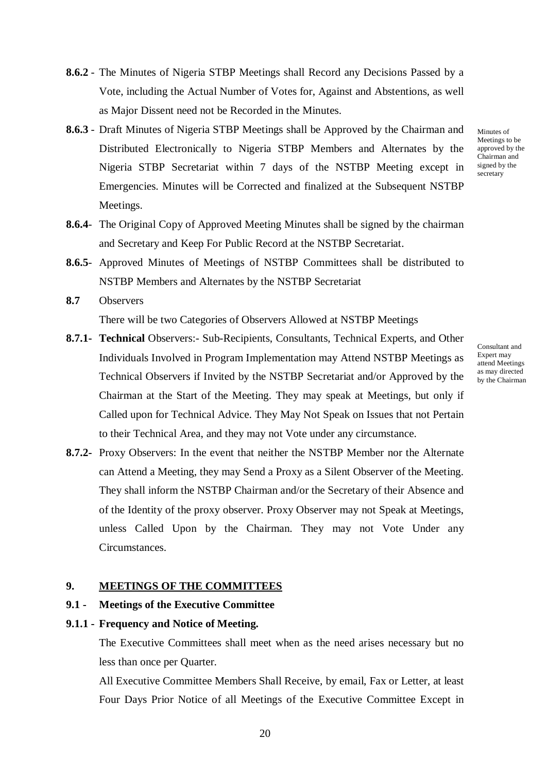- **8.6.2** The Minutes of Nigeria STBP Meetings shall Record any Decisions Passed by a Vote, including the Actual Number of Votes for, Against and Abstentions, as well as Major Dissent need not be Recorded in the Minutes.
- **8.6.3** Draft Minutes of Nigeria STBP Meetings shall be Approved by the Chairman and Distributed Electronically to Nigeria STBP Members and Alternates by the Nigeria STBP Secretariat within 7 days of the NSTBP Meeting except in Emergencies. Minutes will be Corrected and finalized at the Subsequent NSTBP Meetings.
- **8.6.4** The Original Copy of Approved Meeting Minutes shall be signed by the chairman and Secretary and Keep For Public Record at the NSTBP Secretariat.
- **8.6.5** Approved Minutes of Meetings of NSTBP Committees shall be distributed to NSTBP Members and Alternates by the NSTBP Secretariat
- **8.7** Observers There will be two Categories of Observers Allowed at NSTBP Meetings
- **8.7.1- Technical** Observers:- Sub-Recipients, Consultants, Technical Experts, and Other Individuals Involved in Program Implementation may Attend NSTBP Meetings as Technical Observers if Invited by the NSTBP Secretariat and/or Approved by the Chairman at the Start of the Meeting. They may speak at Meetings, but only if Called upon for Technical Advice. They May Not Speak on Issues that not Pertain to their Technical Area, and they may not Vote under any circumstance.
- **8.7.2-** Proxy Observers: In the event that neither the NSTBP Member nor the Alternate can Attend a Meeting, they may Send a Proxy as a Silent Observer of the Meeting. They shall inform the NSTBP Chairman and/or the Secretary of their Absence and of the Identity of the proxy observer. Proxy Observer may not Speak at Meetings, unless Called Upon by the Chairman. They may not Vote Under any Circumstances.

### **9. MEETINGS OF THE COMMITTEES**

#### **9.1 - Meetings of the Executive Committee**

#### **9.1.1 - Frequency and Notice of Meeting.**

The Executive Committees shall meet when as the need arises necessary but no less than once per Quarter.

All Executive Committee Members Shall Receive, by email, Fax or Letter, at least Four Days Prior Notice of all Meetings of the Executive Committee Except in

20

Consultant and Expert may attend Meetings as may directed by the Chairman

Minutes of Meetings to be approved by the Chairman and signed by the secretary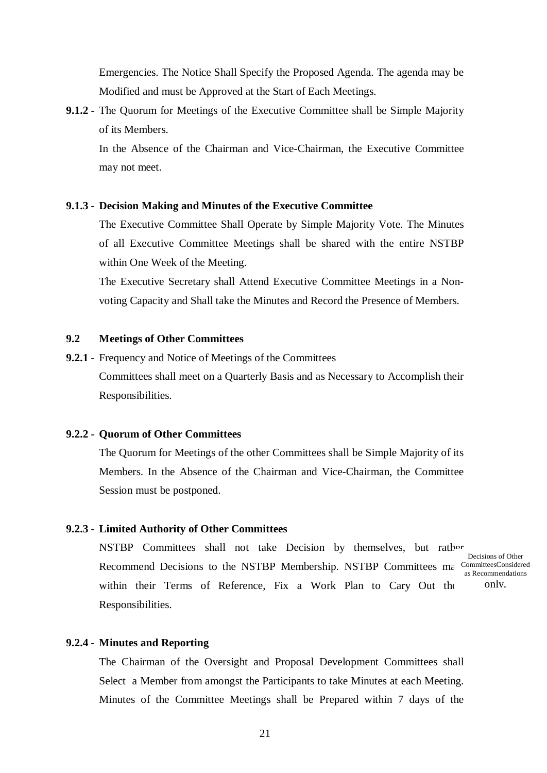Emergencies. The Notice Shall Specify the Proposed Agenda. The agenda may be Modified and must be Approved at the Start of Each Meetings.

**9.1.2 -** The Quorum for Meetings of the Executive Committee shall be Simple Majority of its Members.

In the Absence of the Chairman and Vice-Chairman, the Executive Committee may not meet.

#### **9.1.3 - Decision Making and Minutes of the Executive Committee**

The Executive Committee Shall Operate by Simple Majority Vote. The Minutes of all Executive Committee Meetings shall be shared with the entire NSTBP within One Week of the Meeting.

The Executive Secretary shall Attend Executive Committee Meetings in a Nonvoting Capacity and Shall take the Minutes and Record the Presence of Members.

### **9.2 Meetings of Other Committees**

**9.2.1** - Frequency and Notice of Meetings of the Committees Committees shall meet on a Quarterly Basis and as Necessary to Accomplish their Responsibilities.

#### **9.2.2 - Quorum of Other Committees**

The Quorum for Meetings of the other Committees shall be Simple Majority of its Members. In the Absence of the Chairman and Vice-Chairman, the Committee Session must be postponed.

#### **9.2.3 - Limited Authority of Other Committees**

NSTBP Committees shall not take Decision by themselves, but rather Recommend Decisions to the NSTBP Membership. NSTBP Committees ma CommitteesConsidered within their Terms of Reference, Fix a Work Plan to Cary Out the Responsibilities. Decisions of Other as Recommendations only,

#### **9.2.4 - Minutes and Reporting**

The Chairman of the Oversight and Proposal Development Committees shall Select a Member from amongst the Participants to take Minutes at each Meeting. Minutes of the Committee Meetings shall be Prepared within 7 days of the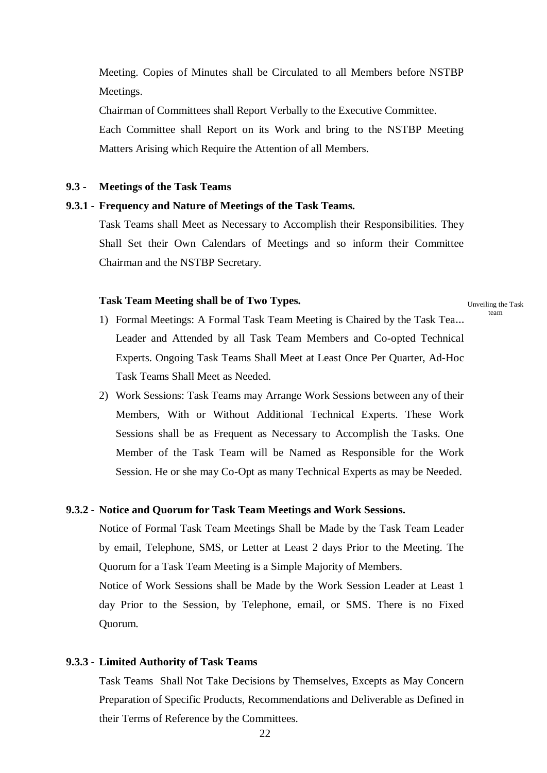Meeting. Copies of Minutes shall be Circulated to all Members before NSTBP Meetings.

Chairman of Committees shall Report Verbally to the Executive Committee. Each Committee shall Report on its Work and bring to the NSTBP Meeting Matters Arising which Require the Attention of all Members.

#### **9.3 - Meetings of the Task Teams**

#### **9.3.1 - Frequency and Nature of Meetings of the Task Teams.**

Task Teams shall Meet as Necessary to Accomplish their Responsibilities. They Shall Set their Own Calendars of Meetings and so inform their Committee Chairman and the NSTBP Secretary.

#### **Task Team Meeting shall be of Two Types.**

Unveiling the Task team

- 1) Formal Meetings: A Formal Task Team Meeting is Chaired by the Task Tea... Leader and Attended by all Task Team Members and Co-opted Technical Experts. Ongoing Task Teams Shall Meet at Least Once Per Quarter, Ad-Hoc Task Teams Shall Meet as Needed.
- 2) Work Sessions: Task Teams may Arrange Work Sessions between any of their Members, With or Without Additional Technical Experts. These Work Sessions shall be as Frequent as Necessary to Accomplish the Tasks. One Member of the Task Team will be Named as Responsible for the Work Session. He or she may Co-Opt as many Technical Experts as may be Needed.

#### **9.3.2 - Notice and Quorum for Task Team Meetings and Work Sessions.**

Notice of Formal Task Team Meetings Shall be Made by the Task Team Leader by email, Telephone, SMS, or Letter at Least 2 days Prior to the Meeting. The Quorum for a Task Team Meeting is a Simple Majority of Members.

Notice of Work Sessions shall be Made by the Work Session Leader at Least 1 day Prior to the Session, by Telephone, email, or SMS. There is no Fixed Quorum.

#### **9.3.3 - Limited Authority of Task Teams**

Task Teams Shall Not Take Decisions by Themselves, Excepts as May Concern Preparation of Specific Products, Recommendations and Deliverable as Defined in their Terms of Reference by the Committees.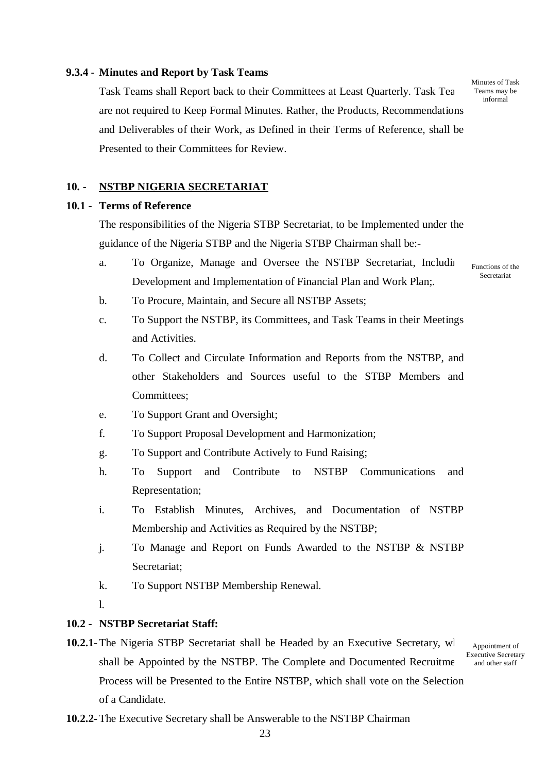#### **9.3.4 - Minutes and Report by Task Teams**

Task Teams shall Report back to their Committees at Least Quarterly. Task Team are not required to Keep Formal Minutes. Rather, the Products, Recommendations and Deliverables of their Work, as Defined in their Terms of Reference, shall be Presented to their Committees for Review.

Minutes of Task Teams may be informal

# **10. - NSTBP NIGERIA SECRETARIAT**

# **10.1 - Terms of Reference**

The responsibilities of the Nigeria STBP Secretariat, to be Implemented under the guidance of the Nigeria STBP and the Nigeria STBP Chairman shall be:-

a. To Organize, Manage and Oversee the NSTBP Secretariat, Including Development and Implementation of Financial Plan and Work Plan;.

Functions of the Secretariat

- b. To Procure, Maintain, and Secure all NSTBP Assets;
- c. To Support the NSTBP, its Committees, and Task Teams in their Meetings and Activities.
- d. To Collect and Circulate Information and Reports from the NSTBP, and other Stakeholders and Sources useful to the STBP Members and Committees;
- e. To Support Grant and Oversight;
- f. To Support Proposal Development and Harmonization;
- g. To Support and Contribute Actively to Fund Raising;
- h. To Support and Contribute to NSTBP Communications and Representation;
- i. To Establish Minutes, Archives, and Documentation of NSTBP Membership and Activities as Required by the NSTBP;
- j. To Manage and Report on Funds Awarded to the NSTBP & NSTBP Secretariat;
- k. To Support NSTBP Membership Renewal.
- l.

## **10.2 - NSTBP Secretariat Staff:**

**10.2.1**-The Nigeria STBP Secretariat shall be Headed by an Executive Secretary, wl shall be Appointed by the NSTBP. The Complete and Documented Recruitment Process will be Presented to the Entire NSTBP, which shall vote on the Selection of a Candidate.

Appointment of Executive Secretary and other staff

**10.2.2-**The Executive Secretary shall be Answerable to the NSTBP Chairman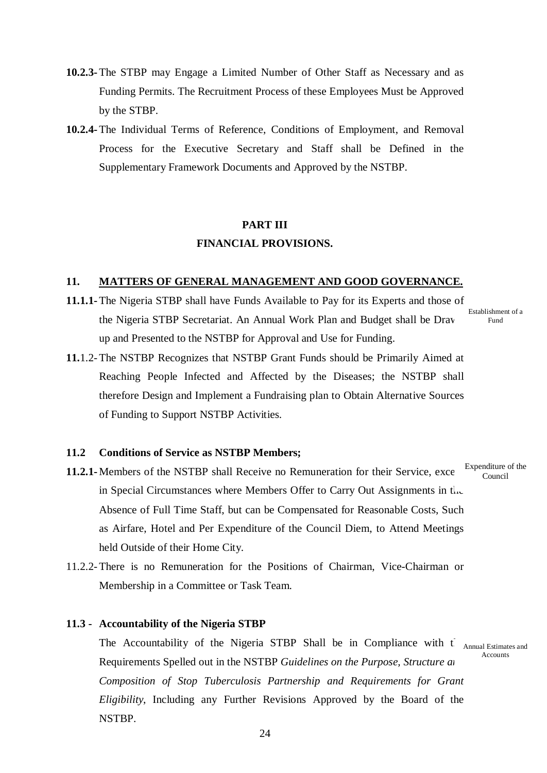- **10.2.3-**The STBP may Engage a Limited Number of Other Staff as Necessary and as Funding Permits. The Recruitment Process of these Employees Must be Approved by the STBP.
- **10.2.4-**The Individual Terms of Reference, Conditions of Employment, and Removal Process for the Executive Secretary and Staff shall be Defined in the Supplementary Framework Documents and Approved by the NSTBP.

# **PART III FINANCIAL PROVISIONS.**

#### **11. MATTERS OF GENERAL MANAGEMENT AND GOOD GOVERNANCE.**

- **11.1.1-**The Nigeria STBP shall have Funds Available to Pay for its Experts and those of the Nigeria STBP Secretariat. An Annual Work Plan and Budget shall be Drawn up and Presented to the NSTBP for Approval and Use for Funding.
	- Establishment of a Fund
- **11.**1.2-The NSTBP Recognizes that NSTBP Grant Funds should be Primarily Aimed at Reaching People Infected and Affected by the Diseases; the NSTBP shall therefore Design and Implement a Fundraising plan to Obtain Alternative Sources of Funding to Support NSTBP Activities.

# **11.2 Conditions of Service as NSTBP Members;**

- **11.2.1-** Members of the NSTBP shall Receive no Remuneration for their Service, exce Expenditure of the in Special Circumstances where Members Offer to Carry Out Assignments in the Absence of Full Time Staff, but can be Compensated for Reasonable Costs, Such as Airfare, Hotel and Per Expenditure of the Council Diem, to Attend Meetings held Outside of their Home City. Council
- 11.2.2-There is no Remuneration for the Positions of Chairman, Vice-Chairman or Membership in a Committee or Task Team.

#### **11.3 - Accountability of the Nigeria STBP**

The Accountability of the Nigeria STBP Shall be in Compliance with  $t_{\text{Annual Estimates and}}$ Requirements Spelled out in the NSTBP *Guidelines on the Purpose, Structure and 20 Composition of Stop Tuberculosis Partnership and Requirements for Grant Eligibility*, Including any Further Revisions Approved by the Board of the NSTBP. Accounts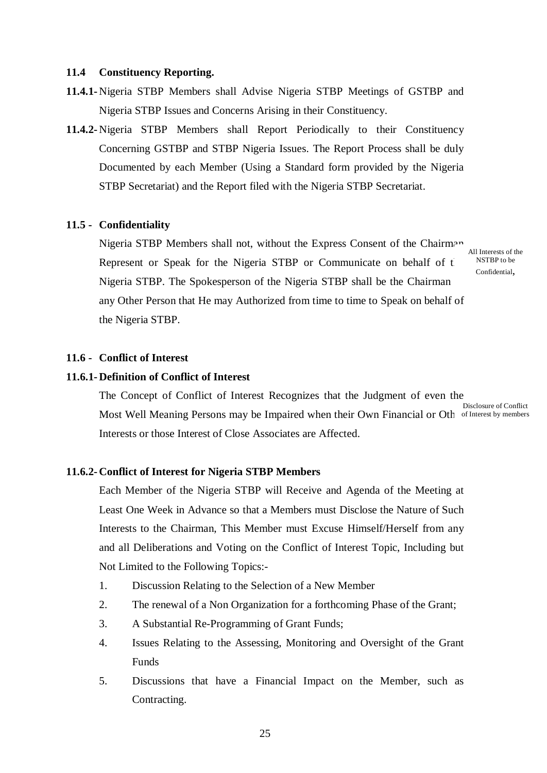#### **11.4 Constituency Reporting.**

- **11.4.1-** Nigeria STBP Members shall Advise Nigeria STBP Meetings of GSTBP and Nigeria STBP Issues and Concerns Arising in their Constituency.
- **11.4.2-** Nigeria STBP Members shall Report Periodically to their Constituency Concerning GSTBP and STBP Nigeria Issues. The Report Process shall be duly Documented by each Member (Using a Standard form provided by the Nigeria STBP Secretariat) and the Report filed with the Nigeria STBP Secretariat.

#### **11.5 - Confidentiality**

Nigeria STBP Members shall not, without the Express Consent of the Chairman Represent or Speak for the Nigeria STBP or Communicate on behalf of the Nigeria STBP. The Spokesperson of the Nigeria STBP shall be the Chairman any Other Person that He may Authorized from time to time to Speak on behalf of the Nigeria STBP.

All Interests of the NSTBP to be Confidential,

#### **11.6 - Conflict of Interest**

## **11.6.1- Definition of Conflict of Interest**

The Concept of Conflict of Interest Recognizes that the Judgment of even the Most Well Meaning Persons may be Impaired when their Own Financial or Oth of Interest by members Interests or those Interest of Close Associates are Affected. Disclosure of Conflict

#### **11.6.2- Conflict of Interest for Nigeria STBP Members**

Each Member of the Nigeria STBP will Receive and Agenda of the Meeting at Least One Week in Advance so that a Members must Disclose the Nature of Such Interests to the Chairman, This Member must Excuse Himself/Herself from any and all Deliberations and Voting on the Conflict of Interest Topic, Including but Not Limited to the Following Topics:-

- 1. Discussion Relating to the Selection of a New Member
- 2. The renewal of a Non Organization for a forthcoming Phase of the Grant;
- 3. A Substantial Re-Programming of Grant Funds;
- 4. Issues Relating to the Assessing, Monitoring and Oversight of the Grant Funds
- 5. Discussions that have a Financial Impact on the Member, such as Contracting.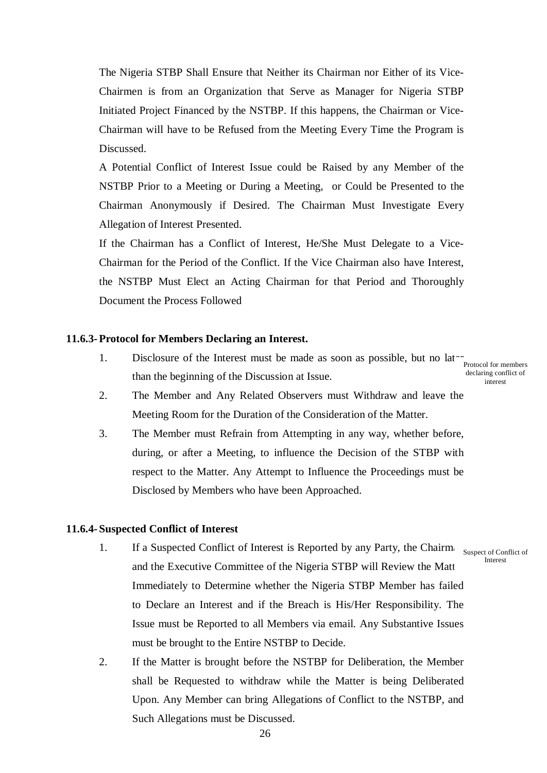The Nigeria STBP Shall Ensure that Neither its Chairman nor Either of its Vice-Chairmen is from an Organization that Serve as Manager for Nigeria STBP Initiated Project Financed by the NSTBP. If this happens, the Chairman or Vice-Chairman will have to be Refused from the Meeting Every Time the Program is Discussed.

A Potential Conflict of Interest Issue could be Raised by any Member of the NSTBP Prior to a Meeting or During a Meeting, or Could be Presented to the Chairman Anonymously if Desired. The Chairman Must Investigate Every Allegation of Interest Presented.

If the Chairman has a Conflict of Interest, He/She Must Delegate to a Vice-Chairman for the Period of the Conflict. If the Vice Chairman also have Interest, the NSTBP Must Elect an Acting Chairman for that Period and Thoroughly Document the Process Followed

### **11.6.3-Protocol for Members Declaring an Interest.**

- 1. Disclosure of the Interest must be made as soon as possible, but no  $\text{lat}_{\text{Protocol for members}}$ than the beginning of the Discussion at Issue. declaring conflict of interest
- 2. The Member and Any Related Observers must Withdraw and leave the Meeting Room for the Duration of the Consideration of the Matter.
- 3. The Member must Refrain from Attempting in any way, whether before, during, or after a Meeting, to influence the Decision of the STBP with respect to the Matter. Any Attempt to Influence the Proceedings must be Disclosed by Members who have been Approached.

#### **11.6.4- Suspected Conflict of Interest**

1. If a Suspected Conflict of Interest is Reported by any Party, the Chairmin Suspect of Conflict of and the Executive Committee of the Nigeria STBP will Review the Matt Immediately to Determine whether the Nigeria STBP Member has failed to Declare an Interest and if the Breach is His/Her Responsibility. The Issue must be Reported to all Members via email. Any Substantive Issues must be brought to the Entire NSTBP to Decide.

Interest

2. If the Matter is brought before the NSTBP for Deliberation, the Member shall be Requested to withdraw while the Matter is being Deliberated Upon. Any Member can bring Allegations of Conflict to the NSTBP, and Such Allegations must be Discussed.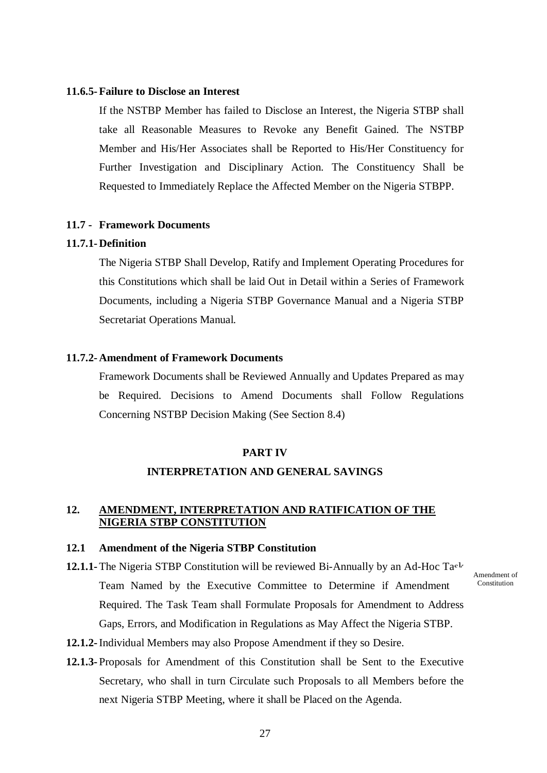#### **11.6.5-Failure to Disclose an Interest**

If the NSTBP Member has failed to Disclose an Interest, the Nigeria STBP shall take all Reasonable Measures to Revoke any Benefit Gained. The NSTBP Member and His/Her Associates shall be Reported to His/Her Constituency for Further Investigation and Disciplinary Action. The Constituency Shall be Requested to Immediately Replace the Affected Member on the Nigeria STBPP.

#### **11.7 - Framework Documents**

#### **11.7.1- Definition**

The Nigeria STBP Shall Develop, Ratify and Implement Operating Procedures for this Constitutions which shall be laid Out in Detail within a Series of Framework Documents, including a Nigeria STBP Governance Manual and a Nigeria STBP Secretariat Operations Manual.

# **11.7.2- Amendment of Framework Documents**

Framework Documents shall be Reviewed Annually and Updates Prepared as may be Required. Decisions to Amend Documents shall Follow Regulations Concerning NSTBP Decision Making (See Section 8.4)

#### **PART IV**

#### **INTERPRETATION AND GENERAL SAVINGS**

# **12. AMENDMENT, INTERPRETATION AND RATIFICATION OF THE NIGERIA STBP CONSTITUTION**

#### **12.1 Amendment of the Nigeria STBP Constitution**

- **12.1.1-** The Nigeria STBP Constitution will be reviewed Bi-Annually by an Ad-Hoc Ta<sup>c</sup> Team Named by the Executive Committee to Determine if Amendment Required. The Task Team shall Formulate Proposals for Amendment to Address Gaps, Errors, and Modification in Regulations as May Affect the Nigeria STBP. Amendment of **Constitution**
- **12.1.2-**Individual Members may also Propose Amendment if they so Desire.
- **12.1.3-** Proposals for Amendment of this Constitution shall be Sent to the Executive Secretary, who shall in turn Circulate such Proposals to all Members before the next Nigeria STBP Meeting, where it shall be Placed on the Agenda.